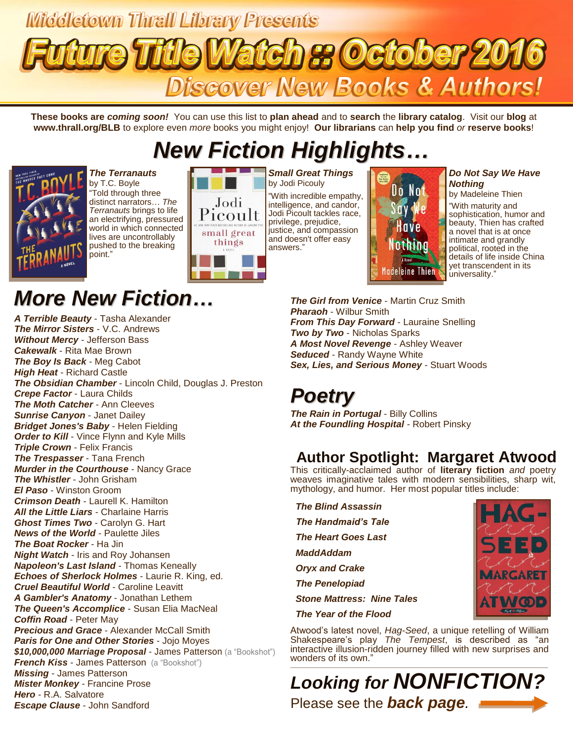# Middletown Thrall Library Presents **97 October 20** Discover New Books & Authors!

**These books are** *coming soon!* You can use this list to **plan ahead** and to **search** the **library catalog**. Visit our **blog** at **www.thrall.org/BLB** to explore even *more* books you might enjoy! **Our librarians** can **help you find** *or* **reserve books**!

# *New Fiction Highlights…*



*The Terranauts* by T.C. Boyle "Told through three distinct narrators… *The Terranauts* brings to life an electrifying, pressured world in which connected lives are uncontrollably pushed to the breaking point."

## *More New Fiction…*

*A Terrible Beauty* - Tasha Alexander *The Mirror Sisters* - V.C. Andrews *Without Mercy* - Jefferson Bass *Cakewalk* - Rita Mae Brown *The Boy Is Back* - Meg Cabot *High Heat* - Richard Castle *The Obsidian Chamber* - Lincoln Child, Douglas J. Preston *Crepe Factor* - Laura Childs *The Moth Catcher* - Ann Cleeves *Sunrise Canyon* - Janet Dailey *Bridget Jones's Baby* - Helen Fielding **Order to Kill** - Vince Flynn and Kyle Mills *Triple Crown* - Felix Francis *The Trespasser* - Tana French *Murder in the Courthouse* - Nancy Grace *The Whistler* - John Grisham *El Paso* - Winston Groom *Crimson Death* - Laurell K. Hamilton *All the Little Liars* - Charlaine Harris *Ghost Times Two* - Carolyn G. Hart *News of the World* - Paulette Jiles *The Boat Rocker* - Ha Jin *Night Watch* - Iris and Roy Johansen *Napoleon's Last Island* - Thomas Keneally *Echoes of Sherlock Holmes* - Laurie R. King, ed. *Cruel Beautiful World* - Caroline Leavitt *A Gambler's Anatomy* - Jonathan Lethem *The Queen's Accomplice* - Susan Elia MacNeal *Coffin Road* - Peter May **Precious and Grace** - Alexander McCall Smith *Paris for One and Other Stories* - Jojo Moyes *\$10,000,000 Marriage Proposal* - James Patterson (a "Bookshot") **French Kiss - James Patterson** (a "Bookshot") *Missing* - James Patterson *Mister Monkey* - Francine Prose *Hero* - R.A. Salvatore *Escape Clause* - John Sandford

#### Jodi Picoult justice, and compassion small great and doesn't offer easy things answers."

*Small Great Things* by Jodi Picouly "With incredible empathy, intelligence, and candor, Jodi Picoult tackles race, privilege, prejudice,



#### *Do Not Say We Have Nothing*

by Madeleine Thien

"With maturity and sophistication, humor and beauty, Thien has crafted a novel that is at once intimate and grandly political, rooted in the details of life inside China yet transcendent in its universality."

*The Girl from Venice* - Martin Cruz Smith *Pharaoh* - Wilbur Smith *From This Day Forward* - Lauraine Snelling *Two by Two* - Nicholas Sparks *A Most Novel Revenge* - Ashley Weaver *Seduced* - Randy Wayne White *Sex, Lies, and Serious Money* - Stuart Woods

## *Poetry*

*The Rain in Portugal* - Billy Collins *At the Foundling Hospital* - Robert Pinsky

## **Author Spotlight: Margaret Atwood**

This critically-acclaimed author of **literary fiction** *and* poetry weaves imaginative tales with modern sensibilities, sharp wit, mythology, and humor. Her most popular titles include:

 *The Blind Assassin The Handmaid's Tale The Heart Goes Last MaddAddam Oryx and Crake The Penelopiad Stone Mattress: Nine Tales The Year of the Flood*

Atwood's latest novel, *Hag-Seed*, a unique retelling of William Shakespeare's play *The Tempest*, is described as "an interactive illusion-ridden journey filled with new surprises and wonders of its own."